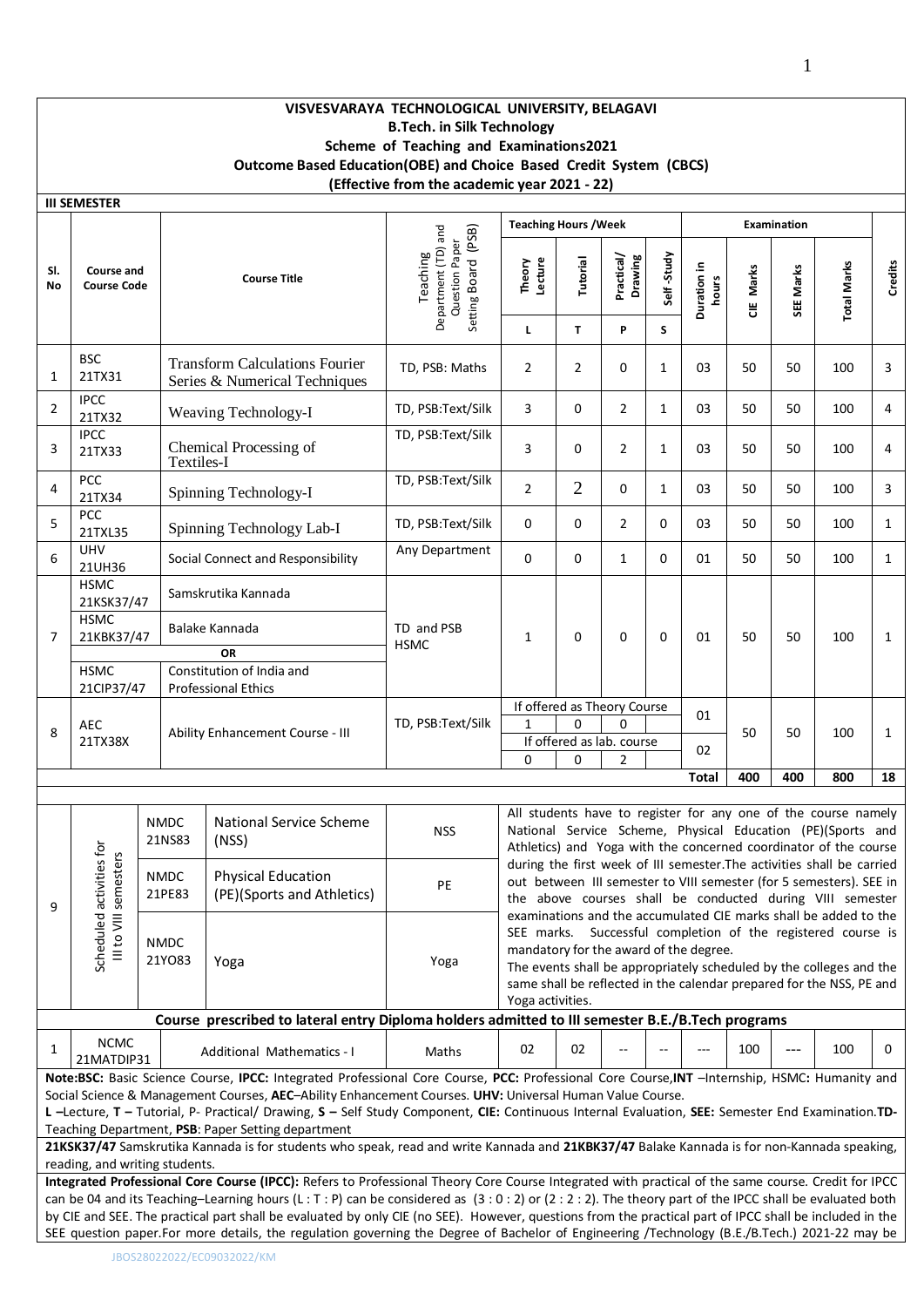## **VISVESVARAYA TECHNOLOGICAL UNIVERSITY, BELAGAVI B.Tech. in Silk Technology Scheme of Teaching and Examinations2021 Outcome Based Education(OBE) and Choice Based Credit System (CBCS) (Effective from the academic year 2021 - 22)**

|                                                                                                                                                                                                                                                                                                                                                                                                                                                                                                                                                                                                                | <b>III SEMESTER</b>                                                                                                                                                                                                                                                                                                                                                                                                                            |  |                                  |                                                                                                                                                                                                                                                                                                             |                                                                          |                              |                      |                                                                          |                 |                      |           |             |                                                                                                                                                                                                            |              |
|----------------------------------------------------------------------------------------------------------------------------------------------------------------------------------------------------------------------------------------------------------------------------------------------------------------------------------------------------------------------------------------------------------------------------------------------------------------------------------------------------------------------------------------------------------------------------------------------------------------|------------------------------------------------------------------------------------------------------------------------------------------------------------------------------------------------------------------------------------------------------------------------------------------------------------------------------------------------------------------------------------------------------------------------------------------------|--|----------------------------------|-------------------------------------------------------------------------------------------------------------------------------------------------------------------------------------------------------------------------------------------------------------------------------------------------------------|--------------------------------------------------------------------------|------------------------------|----------------------|--------------------------------------------------------------------------|-----------------|----------------------|-----------|-------------|------------------------------------------------------------------------------------------------------------------------------------------------------------------------------------------------------------|--------------|
|                                                                                                                                                                                                                                                                                                                                                                                                                                                                                                                                                                                                                |                                                                                                                                                                                                                                                                                                                                                                                                                                                |  |                                  |                                                                                                                                                                                                                                                                                                             |                                                                          | <b>Teaching Hours / Week</b> |                      |                                                                          |                 |                      |           | Examination |                                                                                                                                                                                                            |              |
| SI.<br><b>No</b>                                                                                                                                                                                                                                                                                                                                                                                                                                                                                                                                                                                               | <b>Course and</b><br><b>Course Code</b>                                                                                                                                                                                                                                                                                                                                                                                                        |  |                                  | <b>Course Title</b>                                                                                                                                                                                                                                                                                         | Department (TD) and<br>Setting Board (PSB)<br>Question Paper<br>Teaching | Theory<br>Lecture<br>Г       | <b>Tutorial</b><br>T | Practical/<br>Drawing<br>P                                               | Self-Study<br>S | Duration in<br>hours | CIE Marks | SEE Marks   | <b>Total Marks</b>                                                                                                                                                                                         | Credits      |
| 1                                                                                                                                                                                                                                                                                                                                                                                                                                                                                                                                                                                                              | <b>BSC</b><br>21TX31                                                                                                                                                                                                                                                                                                                                                                                                                           |  |                                  | <b>Transform Calculations Fourier</b><br>Series & Numerical Techniques                                                                                                                                                                                                                                      | TD, PSB: Maths                                                           | 2                            | $\overline{2}$       | 0                                                                        | $\mathbf{1}$    | 03                   | 50        | 50          | 100                                                                                                                                                                                                        | 3            |
| 2                                                                                                                                                                                                                                                                                                                                                                                                                                                                                                                                                                                                              | <b>IPCC</b><br>21TX32                                                                                                                                                                                                                                                                                                                                                                                                                          |  |                                  | Weaving Technology-I                                                                                                                                                                                                                                                                                        | TD, PSB:Text/Silk                                                        | 3                            | 0                    | $\overline{2}$                                                           | $\mathbf{1}$    | 03                   | 50        | 50          | 100                                                                                                                                                                                                        | 4            |
| 3                                                                                                                                                                                                                                                                                                                                                                                                                                                                                                                                                                                                              | <b>IPCC</b><br>21TX33                                                                                                                                                                                                                                                                                                                                                                                                                          |  | Textiles-I                       | Chemical Processing of                                                                                                                                                                                                                                                                                      | TD, PSB:Text/Silk                                                        | 3                            | 0                    | $\overline{2}$                                                           | $\mathbf{1}$    | 03                   | 50        | 50          | 100                                                                                                                                                                                                        | 4            |
| 4                                                                                                                                                                                                                                                                                                                                                                                                                                                                                                                                                                                                              | PCC<br>21TX34                                                                                                                                                                                                                                                                                                                                                                                                                                  |  |                                  | Spinning Technology-I                                                                                                                                                                                                                                                                                       | TD, PSB:Text/Silk                                                        | 2                            | $\overline{2}$       | 0                                                                        | $\mathbf{1}$    | 03                   | 50        | 50          | 100                                                                                                                                                                                                        | 3            |
| 5                                                                                                                                                                                                                                                                                                                                                                                                                                                                                                                                                                                                              | PCC<br>21TXL35                                                                                                                                                                                                                                                                                                                                                                                                                                 |  |                                  | Spinning Technology Lab-I                                                                                                                                                                                                                                                                                   | TD, PSB:Text/Silk                                                        | 0                            | 0                    | $\overline{2}$                                                           | 0               | 03                   | 50        | 50          | 100                                                                                                                                                                                                        | $\mathbf{1}$ |
| 6                                                                                                                                                                                                                                                                                                                                                                                                                                                                                                                                                                                                              | <b>UHV</b><br>21UH36                                                                                                                                                                                                                                                                                                                                                                                                                           |  |                                  | Social Connect and Responsibility                                                                                                                                                                                                                                                                           | Any Department                                                           | 0                            | 0                    | $\mathbf{1}$                                                             | 0               | 01                   | 50        | 50          | 100                                                                                                                                                                                                        | $\mathbf{1}$ |
| 7                                                                                                                                                                                                                                                                                                                                                                                                                                                                                                                                                                                                              | <b>HSMC</b><br>21KSK37/47<br><b>HSMC</b><br>21KBK37/47                                                                                                                                                                                                                                                                                                                                                                                         |  |                                  | Samskrutika Kannada<br>Balake Kannada                                                                                                                                                                                                                                                                       | TD and PSB<br><b>HSMC</b>                                                | $\mathbf{1}$                 | 0                    | 0                                                                        | 0               | 01                   | 50        | 50          | 100                                                                                                                                                                                                        | $\mathbf{1}$ |
|                                                                                                                                                                                                                                                                                                                                                                                                                                                                                                                                                                                                                | <b>HSMC</b><br>21CIP37/47                                                                                                                                                                                                                                                                                                                                                                                                                      |  |                                  | <b>OR</b><br>Constitution of India and<br>Professional Ethics                                                                                                                                                                                                                                               |                                                                          |                              |                      |                                                                          |                 |                      |           |             |                                                                                                                                                                                                            |              |
| 8                                                                                                                                                                                                                                                                                                                                                                                                                                                                                                                                                                                                              | <b>AEC</b><br>21TX38X                                                                                                                                                                                                                                                                                                                                                                                                                          |  | Ability Enhancement Course - III |                                                                                                                                                                                                                                                                                                             | TD, PSB:Text/Silk                                                        | $\mathbf{1}$                 | $\Omega$             | If offered as Theory Course<br><sup>0</sup><br>If offered as lab. course |                 | 01<br>02             | 50        | 50          | 100                                                                                                                                                                                                        | 1            |
|                                                                                                                                                                                                                                                                                                                                                                                                                                                                                                                                                                                                                |                                                                                                                                                                                                                                                                                                                                                                                                                                                |  |                                  |                                                                                                                                                                                                                                                                                                             |                                                                          | 0                            | 0                    | $\overline{2}$                                                           |                 | <b>Total</b>         | 400       | 400         | 800                                                                                                                                                                                                        | 18           |
|                                                                                                                                                                                                                                                                                                                                                                                                                                                                                                                                                                                                                |                                                                                                                                                                                                                                                                                                                                                                                                                                                |  |                                  |                                                                                                                                                                                                                                                                                                             |                                                                          |                              |                      |                                                                          |                 |                      |           |             |                                                                                                                                                                                                            |              |
|                                                                                                                                                                                                                                                                                                                                                                                                                                                                                                                                                                                                                |                                                                                                                                                                                                                                                                                                                                                                                                                                                |  | <b>NMDC</b><br>21NS83            | National Service Scheme<br>(NSS)                                                                                                                                                                                                                                                                            | <b>NSS</b>                                                               |                              |                      |                                                                          |                 |                      |           |             | All students have to register for any one of the course namely<br>National Service Scheme, Physical Education (PE)(Sports and<br>Athletics) and Yoga with the concerned coordinator of the course          |              |
| 9                                                                                                                                                                                                                                                                                                                                                                                                                                                                                                                                                                                                              |                                                                                                                                                                                                                                                                                                                                                                                                                                                |  | <b>NMDC</b><br>21PE83            | <b>Physical Education</b><br>(PE)(Sports and Athletics)                                                                                                                                                                                                                                                     | PE                                                                       |                              |                      |                                                                          |                 |                      |           |             | during the first week of III semester. The activities shall be carried<br>out between III semester to VIII semester (for 5 semesters). SEE in<br>the above courses shall be conducted during VIII semester |              |
|                                                                                                                                                                                                                                                                                                                                                                                                                                                                                                                                                                                                                | Scheduled activities for<br>III to VIII semesters<br>examinations and the accumulated CIE marks shall be added to the<br>Successful completion of the registered course is<br>SEE marks.<br><b>NMDC</b><br>mandatory for the award of the degree.<br>21Y083<br>Yoga<br>Yoga<br>The events shall be appropriately scheduled by the colleges and the<br>same shall be reflected in the calendar prepared for the NSS, PE and<br>Yoga activities. |  |                                  |                                                                                                                                                                                                                                                                                                             |                                                                          |                              |                      |                                                                          |                 |                      |           |             |                                                                                                                                                                                                            |              |
|                                                                                                                                                                                                                                                                                                                                                                                                                                                                                                                                                                                                                |                                                                                                                                                                                                                                                                                                                                                                                                                                                |  |                                  | Course prescribed to lateral entry Diploma holders admitted to III semester B.E./B.Tech programs                                                                                                                                                                                                            |                                                                          |                              |                      |                                                                          |                 |                      |           |             |                                                                                                                                                                                                            |              |
| 1                                                                                                                                                                                                                                                                                                                                                                                                                                                                                                                                                                                                              | <b>NCMC</b><br>21MATDIP31                                                                                                                                                                                                                                                                                                                                                                                                                      |  |                                  | Additional Mathematics - I                                                                                                                                                                                                                                                                                  | Maths                                                                    | 02                           | 02                   |                                                                          |                 |                      | 100       | $---$       | 100                                                                                                                                                                                                        | 0            |
| Note:BSC: Basic Science Course, IPCC: Integrated Professional Core Course, PCC: Professional Core Course, INT -Internship, HSMC: Humanity and<br>Social Science & Management Courses, AEC-Ability Enhancement Courses. UHV: Universal Human Value Course.<br>L-Lecture, T-Tutorial, P- Practical/ Drawing, S-Self Study Component, CIE: Continuous Internal Evaluation, SEE: Semester End Examination.TD-<br>Teaching Department, PSB: Paper Setting department<br>21KSK37/47 Samskrutika Kannada is for students who speak, read and write Kannada and 21KBK37/47 Balake Kannada is for non-Kannada speaking, |                                                                                                                                                                                                                                                                                                                                                                                                                                                |  |                                  |                                                                                                                                                                                                                                                                                                             |                                                                          |                              |                      |                                                                          |                 |                      |           |             |                                                                                                                                                                                                            |              |
| reading, and writing students.<br>Integrated Professional Core Course (IPCC): Refers to Professional Theory Core Course Integrated with practical of the same course. Credit for IPCC                                                                                                                                                                                                                                                                                                                                                                                                                          |                                                                                                                                                                                                                                                                                                                                                                                                                                                |  |                                  |                                                                                                                                                                                                                                                                                                             |                                                                          |                              |                      |                                                                          |                 |                      |           |             |                                                                                                                                                                                                            |              |
|                                                                                                                                                                                                                                                                                                                                                                                                                                                                                                                                                                                                                |                                                                                                                                                                                                                                                                                                                                                                                                                                                |  |                                  | can be 04 and its Teaching-Learning hours (L: T: P) can be considered as (3:0:2) or (2:2:2). The theory part of the IPCC shall be evaluated both<br>by CIE and SEE. The practical part shall be evaluated by only CIE (no SEE). However, questions from the practical part of IPCC shall be included in the |                                                                          |                              |                      |                                                                          |                 |                      |           |             |                                                                                                                                                                                                            |              |
|                                                                                                                                                                                                                                                                                                                                                                                                                                                                                                                                                                                                                |                                                                                                                                                                                                                                                                                                                                                                                                                                                |  |                                  | SEE question paper. For more details, the regulation governing the Degree of Bachelor of Engineering /Technology (B.E./B.Tech.) 2021-22 may be                                                                                                                                                              |                                                                          |                              |                      |                                                                          |                 |                      |           |             |                                                                                                                                                                                                            |              |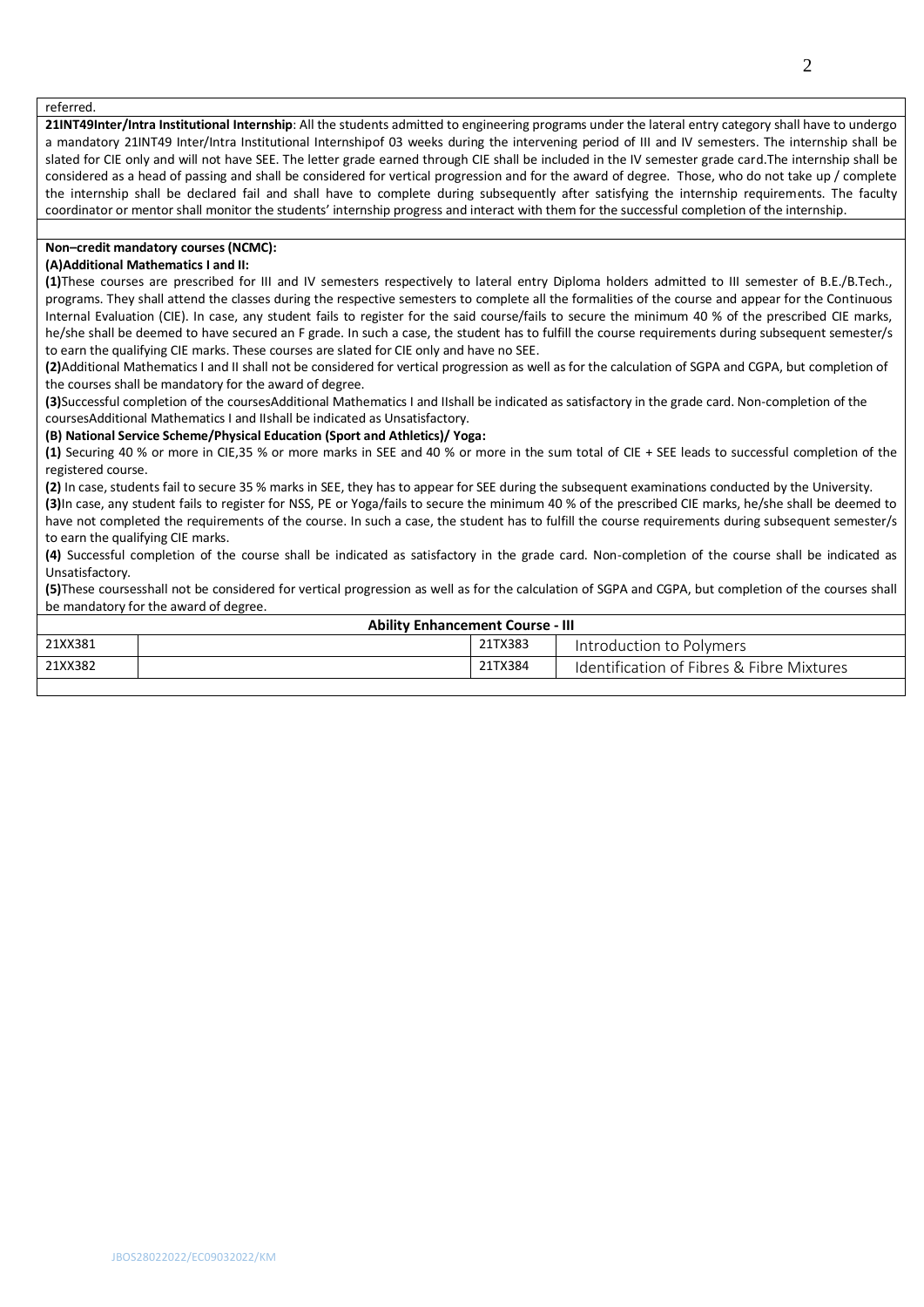#### referred.

**21INT49Inter/Intra Institutional Internship**: All the students admitted to engineering programs under the lateral entry category shall have to undergo a mandatory 21INT49 Inter/Intra Institutional Internshipof 03 weeks during the intervening period of III and IV semesters. The internship shall be slated for CIE only and will not have SEE. The letter grade earned through CIE shall be included in the IV semester grade card.The internship shall be considered as a head of passing and shall be considered for vertical progression and for the award of degree. Those, who do not take up / complete the internship shall be declared fail and shall have to complete during subsequently after satisfying the internship requirements. The faculty coordinator or mentor shall monitor the students' internship progress and interact with them for the successful completion of the internship.

#### **Non–credit mandatory courses (NCMC):**

### **(A)Additional Mathematics I and II:**

**(1)**These courses are prescribed for III and IV semesters respectively to lateral entry Diploma holders admitted to III semester of B.E./B.Tech., programs. They shall attend the classes during the respective semesters to complete all the formalities of the course and appear for the Continuous Internal Evaluation (CIE). In case, any student fails to register for the said course/fails to secure the minimum 40 % of the prescribed CIE marks, he/she shall be deemed to have secured an F grade. In such a case, the student has to fulfill the course requirements during subsequent semester/s to earn the qualifying CIE marks. These courses are slated for CIE only and have no SEE.

**(2)**Additional Mathematics I and II shall not be considered for vertical progression as well as for the calculation of SGPA and CGPA, but completion of the courses shall be mandatory for the award of degree.

**(3)**Successful completion of the coursesAdditional Mathematics I and IIshall be indicated as satisfactory in the grade card. Non-completion of the coursesAdditional Mathematics I and IIshall be indicated as Unsatisfactory.

#### **(B) National Service Scheme/Physical Education (Sport and Athletics)/ Yoga:**

**(1)** Securing 40 % or more in CIE,35 % or more marks in SEE and 40 % or more in the sum total of CIE + SEE leads to successful completion of the registered course.

**(2)** In case, students fail to secure 35 % marks in SEE, they has to appear for SEE during the subsequent examinations conducted by the University. **(3)**In case, any student fails to register for NSS, PE or Yoga/fails to secure the minimum 40 % of the prescribed CIE marks, he/she shall be deemed to

have not completed the requirements of the course. In such a case, the student has to fulfill the course requirements during subsequent semester/s to earn the qualifying CIE marks.

**(4)** Successful completion of the course shall be indicated as satisfactory in the grade card. Non-completion of the course shall be indicated as Unsatisfactory.

**(5)**These coursesshall not be considered for vertical progression as well as for the calculation of SGPA and CGPA, but completion of the courses shall be mandatory for the award of degree.

| <b>Ability Enhancement Course - III</b> |  |         |                                           |  |  |  |  |
|-----------------------------------------|--|---------|-------------------------------------------|--|--|--|--|
| 21XX381                                 |  | 21TX383 | Introduction to Polymers                  |  |  |  |  |
| 21XX382                                 |  | 21TX384 | Identification of Fibres & Fibre Mixtures |  |  |  |  |
|                                         |  |         |                                           |  |  |  |  |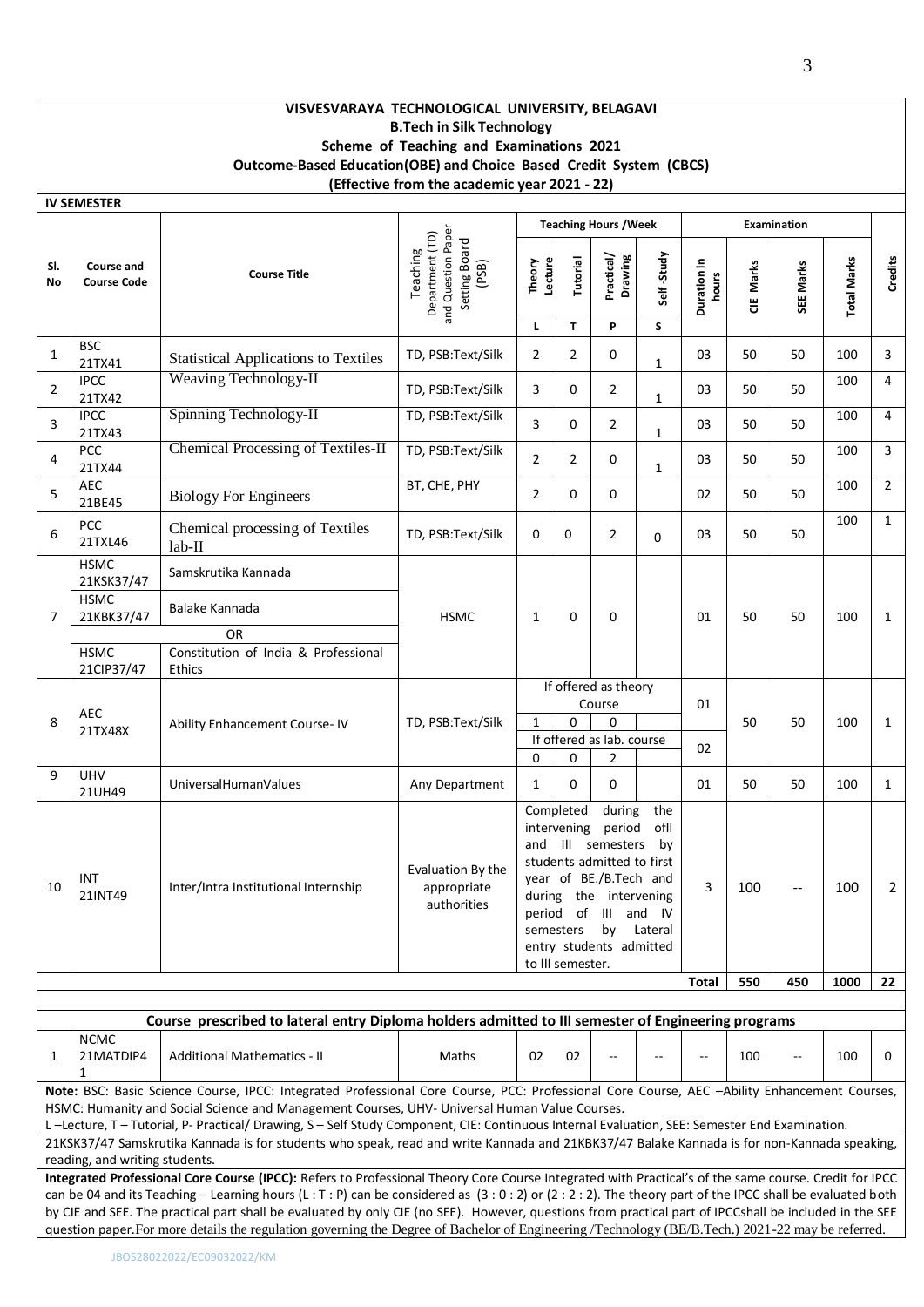## **VISVESVARAYA TECHNOLOGICAL UNIVERSITY, BELAGAVI B.Tech in Silk Technology Scheme of Teaching and Examinations 2021 Outcome-Based Education(OBE) and Choice Based Credit System (CBCS) (Effective from the academic year 2021 - 22)**

|                | <b>IV SEMESTER</b>                                                                                                                                                                                                                                                                                                                                                                       |                                                                                                                                             |                                                                             |                        |                                                                                                                                                                                                                                                           |                              |                 |                      |           |                    |                    |                |
|----------------|------------------------------------------------------------------------------------------------------------------------------------------------------------------------------------------------------------------------------------------------------------------------------------------------------------------------------------------------------------------------------------------|---------------------------------------------------------------------------------------------------------------------------------------------|-----------------------------------------------------------------------------|------------------------|-----------------------------------------------------------------------------------------------------------------------------------------------------------------------------------------------------------------------------------------------------------|------------------------------|-----------------|----------------------|-----------|--------------------|--------------------|----------------|
|                |                                                                                                                                                                                                                                                                                                                                                                                          |                                                                                                                                             |                                                                             |                        |                                                                                                                                                                                                                                                           | <b>Teaching Hours / Week</b> |                 |                      |           | <b>Examination</b> |                    |                |
| SI.<br>No      | Course and<br><b>Course Code</b>                                                                                                                                                                                                                                                                                                                                                         | <b>Course Title</b>                                                                                                                         | and Question Paper<br>Department (TD)<br>Setting Board<br>(PSB)<br>Teaching | Theory<br>Lecture<br>L | Tutorial<br>T                                                                                                                                                                                                                                             | Practical/<br>Drawing<br>P   | Self-Study<br>S | Duration in<br>hours | CIE Marks | SEE Marks          | <b>Total Marks</b> | Credits        |
| 1              | <b>BSC</b><br>21TX41                                                                                                                                                                                                                                                                                                                                                                     | <b>Statistical Applications to Textiles</b>                                                                                                 | TD, PSB:Text/Silk                                                           | 2                      | 2                                                                                                                                                                                                                                                         | 0                            | $\mathbf{1}$    | 03                   | 50        | 50                 | 100                | 3              |
| $\overline{2}$ | <b>IPCC</b><br>21TX42                                                                                                                                                                                                                                                                                                                                                                    | <b>Weaving Technology-II</b>                                                                                                                | TD, PSB:Text/Silk                                                           | 3                      | 0                                                                                                                                                                                                                                                         | 2                            | $\mathbf{1}$    | 03                   | 50        | 50                 | 100                | 4              |
| 3              | <b>IPCC</b><br>21TX43                                                                                                                                                                                                                                                                                                                                                                    | Spinning Technology-II                                                                                                                      | TD, PSB:Text/Silk                                                           | 3                      | 0                                                                                                                                                                                                                                                         | 2                            | 1               | 03                   | 50        | 50                 | 100                | 4              |
| 4              | PCC<br>21TX44                                                                                                                                                                                                                                                                                                                                                                            | Chemical Processing of Textiles-II                                                                                                          | TD, PSB:Text/Silk                                                           | $\overline{2}$         | $\overline{2}$                                                                                                                                                                                                                                            | 0                            | $\mathbf{1}$    | 03                   | 50        | 50                 | 100                | 3              |
| 5              | <b>AEC</b><br>21BE45                                                                                                                                                                                                                                                                                                                                                                     | <b>Biology For Engineers</b>                                                                                                                | BT, CHE, PHY                                                                | $\overline{2}$         | 0                                                                                                                                                                                                                                                         | 0                            |                 | 02                   | 50        | 50                 | 100                | $\overline{2}$ |
| 6              | <b>PCC</b><br>21TXL46                                                                                                                                                                                                                                                                                                                                                                    | Chemical processing of Textiles<br>$lab-II$                                                                                                 | TD, PSB:Text/Silk                                                           | 0                      | 0                                                                                                                                                                                                                                                         | $\overline{2}$               | 0               | 03                   | 50        | 50                 | 100                | $\mathbf{1}$   |
|                | <b>HSMC</b><br>21KSK37/47                                                                                                                                                                                                                                                                                                                                                                | Samskrutika Kannada                                                                                                                         |                                                                             |                        |                                                                                                                                                                                                                                                           |                              |                 |                      |           |                    |                    |                |
| 7              | <b>HSMC</b><br>21KBK37/47                                                                                                                                                                                                                                                                                                                                                                | Balake Kannada                                                                                                                              | <b>HSMC</b>                                                                 | $\mathbf{1}$           | 0                                                                                                                                                                                                                                                         | 0                            |                 | 01                   | 50        | 50                 | 100                | $\mathbf{1}$   |
|                | <b>HSMC</b><br>21CIP37/47                                                                                                                                                                                                                                                                                                                                                                | <b>OR</b><br>Constitution of India & Professional<br>Ethics                                                                                 |                                                                             |                        |                                                                                                                                                                                                                                                           |                              |                 |                      |           |                    |                    |                |
| 8              | <b>AEC</b><br>21TX48X                                                                                                                                                                                                                                                                                                                                                                    | Ability Enhancement Course-IV                                                                                                               | TD, PSB:Text/Silk                                                           | $\mathbf{1}$           | If offered as theory<br>Course<br>01<br>0<br>0<br>If offered as lab. course                                                                                                                                                                               |                              | 02              | 50                   | 50        | 100                | $\mathbf{1}$       |                |
| 9              | <b>UHV</b><br>21UH49                                                                                                                                                                                                                                                                                                                                                                     | UniversalHumanValues                                                                                                                        | Any Department                                                              | 0<br>$\mathbf{1}$      | 0<br>$\Omega$                                                                                                                                                                                                                                             | 2<br>0                       |                 | 01                   | 50        | 50                 | 100                | $\mathbf{1}$   |
| 10             | INT<br>21INT49                                                                                                                                                                                                                                                                                                                                                                           | Inter/Intra Institutional Internship                                                                                                        | Evaluation By the<br>appropriate<br>authorities                             | to III semester.       | Completed<br>during<br>the<br>intervening<br>period<br>ofll<br>and III semesters<br>by<br>students admitted to first<br>year of BE./B.Tech and<br>during the intervening<br>period of III and IV<br>by<br>semesters<br>Lateral<br>entry students admitted |                              | 3               | 100                  |           | 100                | 2                  |                |
|                |                                                                                                                                                                                                                                                                                                                                                                                          |                                                                                                                                             |                                                                             |                        |                                                                                                                                                                                                                                                           |                              |                 | Total                | 550       | 450                | 1000               | 22             |
|                |                                                                                                                                                                                                                                                                                                                                                                                          | Course prescribed to lateral entry Diploma holders admitted to III semester of Engineering programs                                         |                                                                             |                        |                                                                                                                                                                                                                                                           |                              |                 |                      |           |                    |                    |                |
| 1              | <b>NCMC</b><br>21MATDIP4<br>1                                                                                                                                                                                                                                                                                                                                                            | <b>Additional Mathematics - II</b>                                                                                                          | Maths                                                                       | 02                     | 02                                                                                                                                                                                                                                                        |                              |                 |                      | 100       |                    | 100                | 0              |
|                | Note: BSC: Basic Science Course, IPCC: Integrated Professional Core Course, PCC: Professional Core Course, AEC -Ability Enhancement Courses,<br>HSMC: Humanity and Social Science and Management Courses, UHV- Universal Human Value Courses.<br>L-Lecture, T-Tutorial, P-Practical/Drawing, S-Self Study Component, CIE: Continuous Internal Evaluation, SEE: Semester End Examination. |                                                                                                                                             |                                                                             |                        |                                                                                                                                                                                                                                                           |                              |                 |                      |           |                    |                    |                |
|                |                                                                                                                                                                                                                                                                                                                                                                                          | 21KSK37/47 Samskrutika Kannada is for students who speak, read and write Kannada and 21KBK37/47 Balake Kannada is for non-Kannada speaking, |                                                                             |                        |                                                                                                                                                                                                                                                           |                              |                 |                      |           |                    |                    |                |
|                | reading, and writing students.                                                                                                                                                                                                                                                                                                                                                           |                                                                                                                                             |                                                                             |                        |                                                                                                                                                                                                                                                           |                              |                 |                      |           |                    |                    |                |

**Integrated Professional Core Course (IPCC):** Refers to Professional Theory Core Course Integrated with Practical's of the same course. Credit for IPCC can be 04 and its Teaching - Learning hours (L : T : P) can be considered as (3 : 0 : 2) or (2 : 2 : 2). The theory part of the IPCC shall be evaluated both by CIE and SEE. The practical part shall be evaluated by only CIE (no SEE). However, questions from practical part of IPCCshall be included in the SEE question paper.For more details the regulation governing the Degree of Bachelor of Engineering /Technology (BE/B.Tech.) 2021-22 may be referred.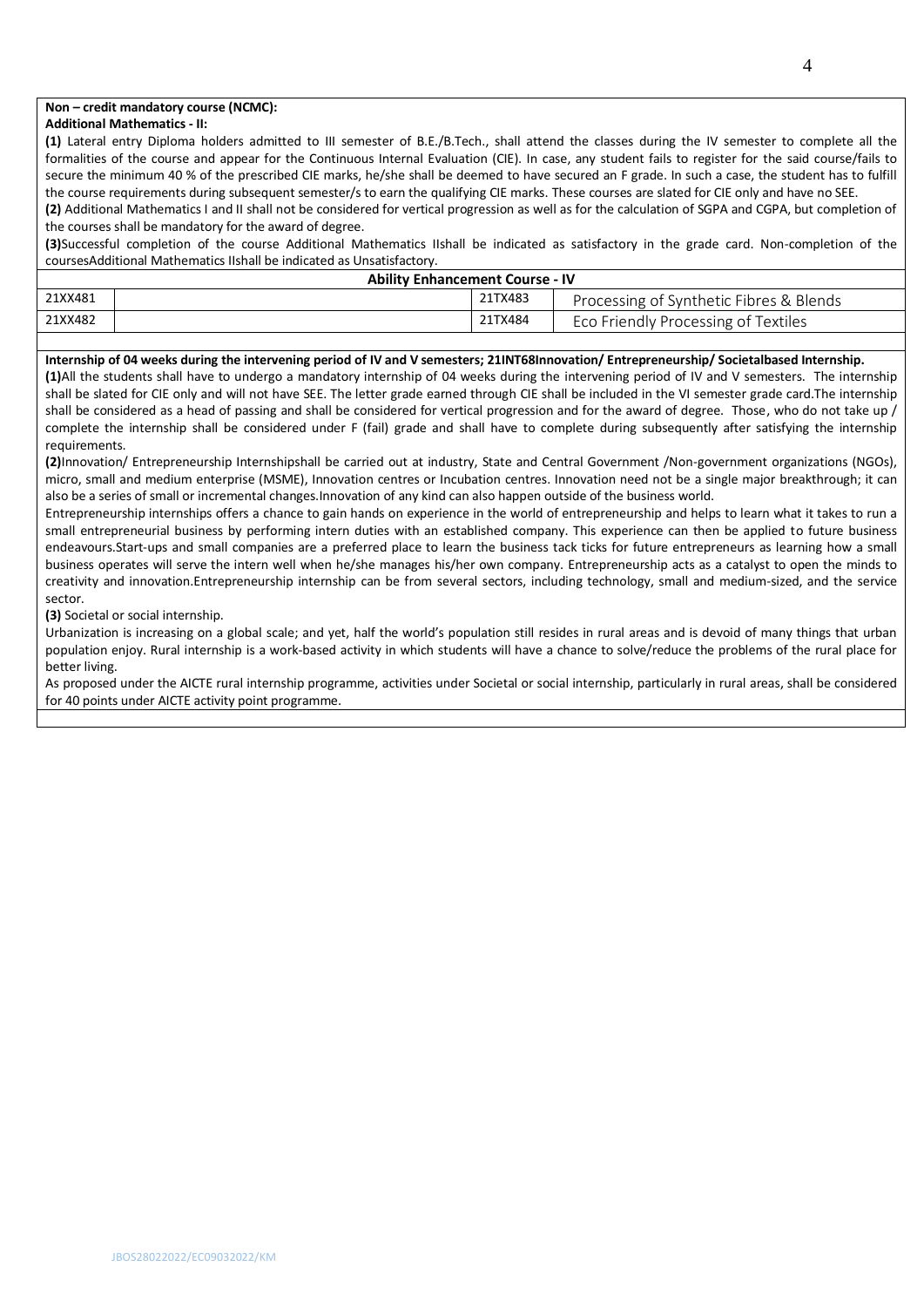### **Non – credit mandatory course (NCMC):**

#### **Additional Mathematics - II:**

**(1)** Lateral entry Diploma holders admitted to III semester of B.E./B.Tech., shall attend the classes during the IV semester to complete all the formalities of the course and appear for the Continuous Internal Evaluation (CIE). In case, any student fails to register for the said course/fails to secure the minimum 40 % of the prescribed CIE marks, he/she shall be deemed to have secured an F grade. In such a case, the student has to fulfill the course requirements during subsequent semester/s to earn the qualifying CIE marks. These courses are slated for CIE only and have no SEE.

**(2)** Additional Mathematics I and II shall not be considered for vertical progression as well as for the calculation of SGPA and CGPA, but completion of the courses shall be mandatory for the award of degree.

**(3)**Successful completion of the course Additional Mathematics IIshall be indicated as satisfactory in the grade card. Non-completion of the coursesAdditional Mathematics IIshall be indicated as Unsatisfactory.

| <b>Ability Enhancement Course - IV</b> |  |         |                                         |  |  |  |  |  |
|----------------------------------------|--|---------|-----------------------------------------|--|--|--|--|--|
| 21XX481                                |  | 21TX483 | Processing of Synthetic Fibres & Blends |  |  |  |  |  |
| 21XX482                                |  | 21TX484 | Eco Friendly Processing of Textiles     |  |  |  |  |  |

#### **Internship of 04 weeks during the intervening period of IV and V semesters; 21INT68Innovation/ Entrepreneurship/ Societalbased Internship.**

**(1)**All the students shall have to undergo a mandatory internship of 04 weeks during the intervening period of IV and V semesters. The internship shall be slated for CIE only and will not have SEE. The letter grade earned through CIE shall be included in the VI semester grade card.The internship shall be considered as a head of passing and shall be considered for vertical progression and for the award of degree. Those, who do not take up / complete the internship shall be considered under F (fail) grade and shall have to complete during subsequently after satisfying the internship requirements.

**(2)**Innovation/ Entrepreneurship Internshipshall be carried out at industry, State and Central Government /Non-government organizations (NGOs), micro, small and medium enterprise (MSME), Innovation centres or Incubation centres. Innovation need not be a single major breakthrough; it can also be a series of small or incremental changes.Innovation of any kind can also happen outside of the business world.

Entrepreneurship internships offers a chance to gain hands on experience in the world of entrepreneurship and helps to learn what it takes to run a small entrepreneurial business by performing intern duties with an established company. This experience can then be applied to future business endeavours.Start-ups and small companies are a preferred place to learn the business tack ticks for future entrepreneurs as learning how a small business operates will serve the intern well when he/she manages his/her own company. Entrepreneurship acts as a catalyst to open the minds to creativity and innovation.Entrepreneurship internship can be from several sectors, including technology, small and medium-sized, and the service sector.

**(3)** Societal or social internship.

Urbanization is increasing on a global scale; and yet, half the world's population still resides in rural areas and is devoid of many things that urban population enjoy. Rural internship is a work-based activity in which students will have a chance to solve/reduce the problems of the rural place for better living.

As proposed under the AICTE rural internship programme, activities under Societal or social internship, particularly in rural areas, shall be considered for 40 points under AICTE activity point programme.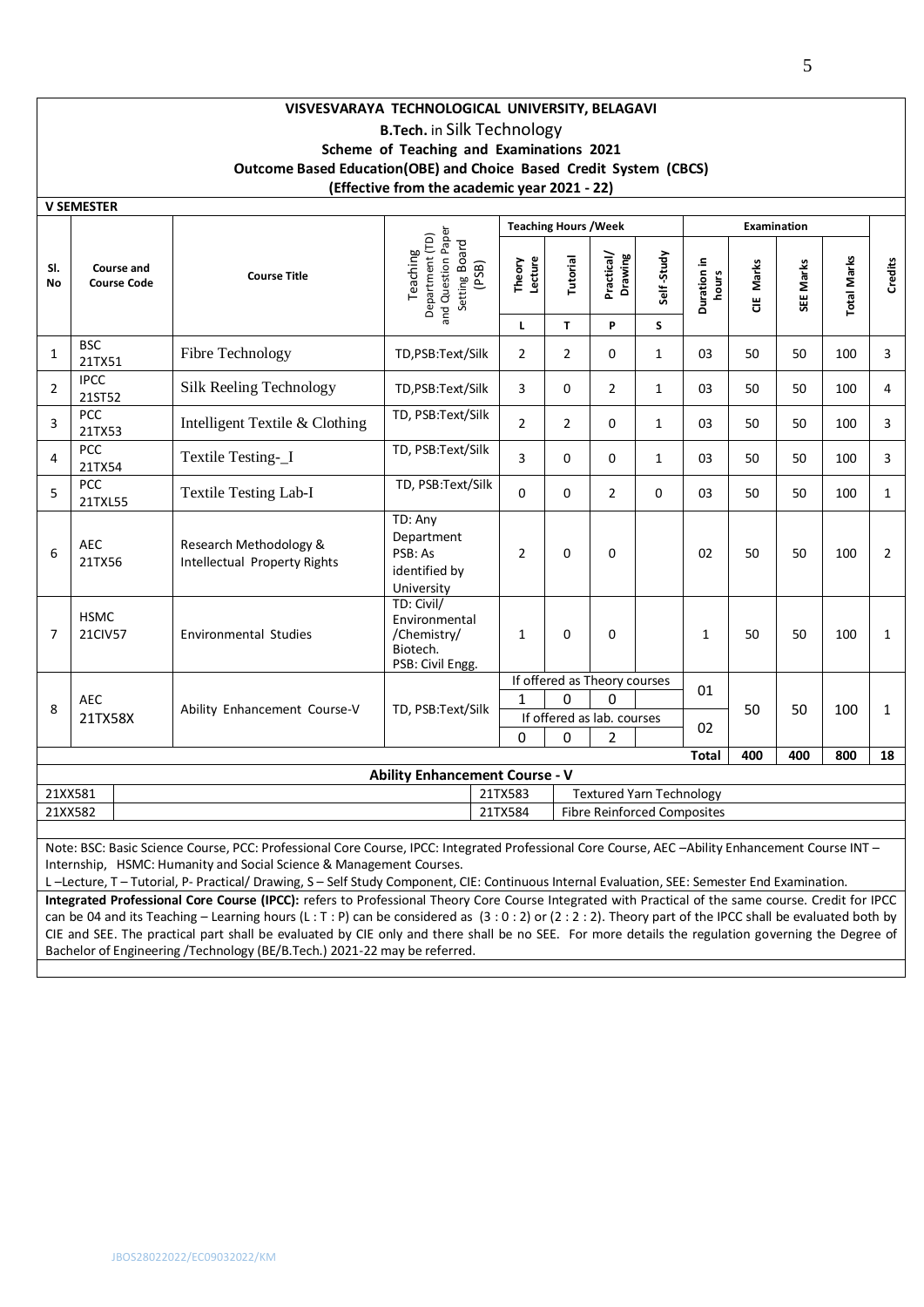## **VISVESVARAYA TECHNOLOGICAL UNIVERSITY, BELAGAVI B.Tech.** in Silk Technology **Scheme of Teaching and Examinations 2021 Outcome Based Education(OBE) and Choice Based Credit System (CBCS) (Effective from the academic year 2021 - 22)**

|                |                                                                                                                                                  |                                                        |                                                                             |                   | <b>Teaching Hours / Week</b> |                              |                                    |                      |           | <b>Examination</b> |                    |                |
|----------------|--------------------------------------------------------------------------------------------------------------------------------------------------|--------------------------------------------------------|-----------------------------------------------------------------------------|-------------------|------------------------------|------------------------------|------------------------------------|----------------------|-----------|--------------------|--------------------|----------------|
| SI.<br>No      | Course and<br><b>Course Code</b>                                                                                                                 | <b>Course Title</b>                                    | and Question Paper<br>Department (TD)<br>Setting Board<br>Teaching<br>(PSB) | Theory<br>Lecture | Tutorial                     | Practical/<br>Drawing        | Self-Study                         | Duration in<br>hours | CIE Marks | SEE Marks          | <b>Total Marks</b> | <b>Credits</b> |
|                |                                                                                                                                                  |                                                        |                                                                             | L                 | T                            | P                            | S                                  |                      |           |                    |                    |                |
| $\mathbf{1}$   | <b>BSC</b><br>21TX51                                                                                                                             | Fibre Technology                                       | TD,PSB:Text/Silk                                                            | $\overline{2}$    | $\overline{2}$               | $\Omega$                     | $\mathbf{1}$                       | 03                   | 50        | 50                 | 100                | 3              |
| $\overline{2}$ | <b>IPCC</b><br>21ST52                                                                                                                            | Silk Reeling Technology                                | TD,PSB:Text/Silk                                                            | 3                 | 0                            | $\overline{2}$               | $\mathbf{1}$                       | 03                   | 50        | 50                 | 100                | 4              |
| 3              | PCC<br>21TX53                                                                                                                                    | Intelligent Textile & Clothing                         | TD, PSB:Text/Silk                                                           | $\overline{2}$    | $\overline{2}$               | 0                            | $\mathbf{1}$                       | 03                   | 50        | 50                 | 100                | 3              |
| 4              | PCC<br>21TX54                                                                                                                                    | Textile Testing-_I                                     | TD, PSB:Text/Silk                                                           | 3                 | $\Omega$                     | $\Omega$                     | $\mathbf{1}$                       | 03                   | 50        | 50                 | 100                | 3              |
| 5              | PCC<br>21TXL55                                                                                                                                   | <b>Textile Testing Lab-I</b>                           | TD, PSB:Text/Silk                                                           | $\Omega$          | $\Omega$                     | $\overline{2}$               | $\Omega$                           | 03                   | 50        | 50                 | 100                | $\mathbf{1}$   |
| 6              | <b>AEC</b><br>21TX56                                                                                                                             | Research Methodology &<br>Intellectual Property Rights | TD: Any<br>Department<br>PSB: As<br>identified by<br>University             | 2                 | 0                            | 0                            |                                    | 02                   | 50        | 50                 | 100                | 2              |
| $\overline{7}$ | <b>HSMC</b><br>21CIV57                                                                                                                           | <b>Environmental Studies</b>                           | TD: Civil/<br>Environmental<br>/Chemistry/<br>Biotech.<br>PSB: Civil Engg.  | $\mathbf{1}$      | $\Omega$<br>$\Omega$         |                              |                                    | $\mathbf{1}$         | 50        | 50                 | 100                | $\mathbf{1}$   |
|                |                                                                                                                                                  |                                                        |                                                                             |                   |                              | If offered as Theory courses |                                    | 01                   |           |                    |                    |                |
| 8              | <b>AEC</b>                                                                                                                                       | Ability Enhancement Course-V                           | TD, PSB:Text/Silk                                                           | 1                 | $\Omega$                     | O                            |                                    |                      | 50        | 50                 | 100                | $\mathbf{1}$   |
|                | 21TX58X                                                                                                                                          |                                                        |                                                                             | $\Omega$          | 0                            | If offered as lab. courses   |                                    | 02                   |           |                    |                    |                |
|                |                                                                                                                                                  |                                                        |                                                                             |                   |                              | $\overline{2}$               |                                    | <b>Total</b>         | 400       | 400                | 800                | 18             |
|                |                                                                                                                                                  |                                                        | <b>Ability Enhancement Course - V</b>                                       |                   |                              |                              |                                    |                      |           |                    |                    |                |
| 21XX581        |                                                                                                                                                  |                                                        |                                                                             | 21TX583           |                              |                              | <b>Textured Yarn Technology</b>    |                      |           |                    |                    |                |
| 21XX582        |                                                                                                                                                  |                                                        |                                                                             | 21TX584           |                              |                              | <b>Fibre Reinforced Composites</b> |                      |           |                    |                    |                |
|                |                                                                                                                                                  |                                                        |                                                                             |                   |                              |                              |                                    |                      |           |                    |                    |                |
|                | Note: BSC: Basic Science Course, PCC: Professional Core Course, IPCC: Integrated Professional Core Course, AEC -Ability Enhancement Course INT - |                                                        |                                                                             |                   |                              |                              |                                    |                      |           |                    |                    |                |

Internship, HSMC: Humanity and Social Science & Management Courses.

L –Lecture, T – Tutorial, P- Practical/ Drawing, S – Self Study Component, CIE: Continuous Internal Evaluation, SEE: Semester End Examination. **Integrated Professional Core Course (IPCC):** refers to Professional Theory Core Course Integrated with Practical of the same course. Credit for IPCC can be 04 and its Teaching – Learning hours (L : T : P) can be considered as (3 : 0 : 2) or (2 : 2 : 2). Theory part of the IPCC shall be evaluated both by CIE and SEE. The practical part shall be evaluated by CIE only and there shall be no SEE. For more details the regulation governing the Degree of Bachelor of Engineering /Technology (BE/B.Tech.) 2021-22 may be referred.

**V SEMESTER**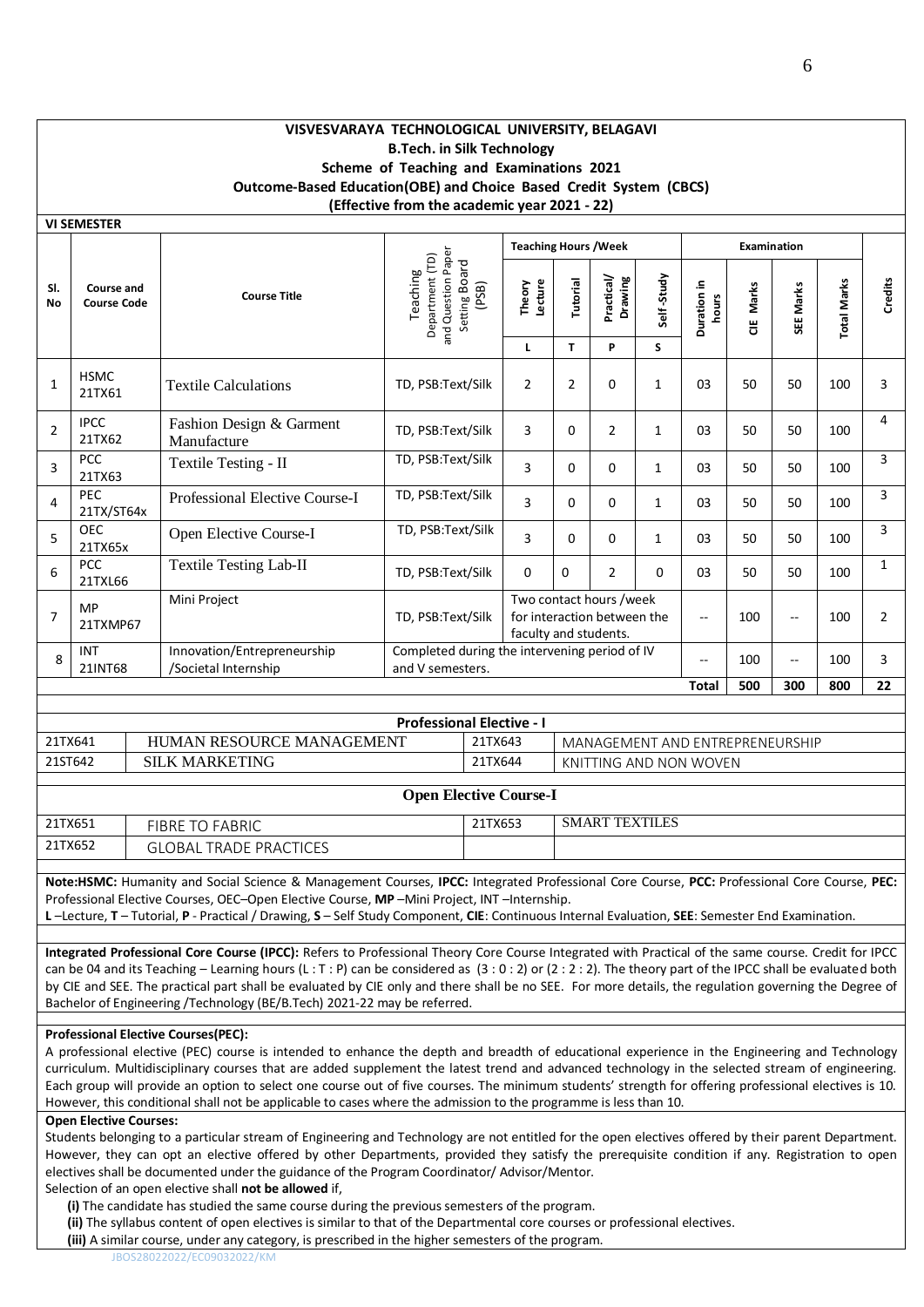## **VISVESVARAYA TECHNOLOGICAL UNIVERSITY, BELAGAVI B.Tech. in Silk Technology Scheme of Teaching and Examinations 2021 Outcome-Based Education(OBE) and Choice Based Credit System (CBCS) (Effective from the academic year 2021 - 22)**

|                  | <b>VI SEMESTER</b>               |                                                     |                                                                             |                              |                                                                                 |                       |              |                          |           |                          |                    |                |
|------------------|----------------------------------|-----------------------------------------------------|-----------------------------------------------------------------------------|------------------------------|---------------------------------------------------------------------------------|-----------------------|--------------|--------------------------|-----------|--------------------------|--------------------|----------------|
|                  |                                  |                                                     |                                                                             | <b>Teaching Hours / Week</b> |                                                                                 |                       |              | <b>Examination</b>       |           |                          |                    |                |
| SI.<br><b>No</b> | Course and<br><b>Course Code</b> | <b>Course Title</b>                                 | and Question Paper<br>Department (TD)<br>Setting Board<br>Teaching<br>(PSB) | Lecture<br>Theory            | Tutorial                                                                        | Practical/<br>Drawing | Self-Study   | Duration in<br>hours     | CIE Marks | SEE Marks                | <b>Total Marks</b> | Credits        |
|                  |                                  |                                                     |                                                                             | L                            | T.                                                                              | P                     | S            |                          |           |                          |                    |                |
| $\mathbf{1}$     | <b>HSMC</b><br>21TX61            | <b>Textile Calculations</b>                         | TD, PSB:Text/Silk                                                           | $\overline{2}$               | $\overline{2}$                                                                  | 0                     | $\mathbf{1}$ | 03                       | 50        | 50                       | 100                | 3              |
| $\overline{2}$   | <b>IPCC</b><br>21TX62            | Fashion Design & Garment<br>Manufacture             | TD, PSB:Text/Silk                                                           | 3                            | 0                                                                               | $\overline{2}$        | 1            | 03                       | 50        | 50                       | 100                | 4              |
| 3                | <b>PCC</b><br>21TX63             | Textile Testing - II                                | TD, PSB:Text/Silk                                                           | 3                            | 0                                                                               | 0                     | $\mathbf{1}$ | 03                       | 50        | 50                       | 100                | 3              |
| 4                | <b>PEC</b><br>21TX/ST64x         | Professional Elective Course-I                      | TD, PSB:Text/Silk                                                           | 3                            | 0                                                                               | 0                     | $\mathbf{1}$ | 03                       | 50        | 50                       | 100                | 3              |
| 5                | <b>OEC</b><br>21TX65x            | Open Elective Course-I                              | TD, PSB:Text/Silk                                                           | 3                            | 0                                                                               | 0                     | $\mathbf{1}$ | 03                       | 50        | 50                       | 100                | 3              |
| 6                | <b>PCC</b><br>21TXL66            | <b>Textile Testing Lab-II</b>                       | TD, PSB:Text/Silk                                                           | $\Omega$                     | 0                                                                               | $\overline{2}$        | $\Omega$     | 03                       | 50        | 50                       | 100                | $\mathbf{1}$   |
| $\overline{7}$   | <b>MP</b><br>21TXMP67            | Mini Project                                        | TD, PSB:Text/Silk                                                           |                              | Two contact hours /week<br>for interaction between the<br>faculty and students. |                       |              | $-$                      | 100       | $\overline{\phantom{a}}$ | 100                | $\overline{2}$ |
| 8                | <b>INT</b><br>21INT68            | Innovation/Entrepreneurship<br>/Societal Internship | Completed during the intervening period of IV<br>and V semesters.           |                              |                                                                                 |                       |              | $\overline{\phantom{a}}$ | 100       | --                       | 100                | 3              |
|                  |                                  |                                                     |                                                                             |                              |                                                                                 |                       |              | <b>Total</b>             | 500       | 300                      | 800                | 22             |
|                  |                                  |                                                     |                                                                             |                              |                                                                                 |                       |              |                          |           |                          |                    |                |
|                  |                                  |                                                     |                                                                             |                              |                                                                                 |                       |              |                          |           |                          |                    |                |

| <b>Professional Elective - I</b> |                           |         |                                 |  |  |  |  |  |  |  |
|----------------------------------|---------------------------|---------|---------------------------------|--|--|--|--|--|--|--|
| 21TX641                          | HUMAN RESOURCE MANAGEMENT | 21TX643 | MANAGEMENT AND ENTREPRENEURSHIP |  |  |  |  |  |  |  |
| 21ST642                          | <b>SILK MARKETING</b>     | 21TX644 | KNITTING AND NON WOVEN          |  |  |  |  |  |  |  |
|                                  |                           |         |                                 |  |  |  |  |  |  |  |

| 21TX651 | FIBRE TO FABRIC           | 21TX653 | SMART TEXTILES |
|---------|---------------------------|---------|----------------|
| 21TX652 | TRADE PRACTICES<br>GLOBAL |         |                |

**Note:HSMC:** Humanity and Social Science & Management Courses, **IPCC:** Integrated Professional Core Course, **PCC:** Professional Core Course, **PEC:** Professional Elective Courses, OEC–Open Elective Course, **MP** –Mini Project, INT –Internship.

**L** –Lecture, **T** – Tutorial, **P** - Practical / Drawing, **S** – Self Study Component, **CIE**: Continuous Internal Evaluation, **SEE**: Semester End Examination.

**Integrated Professional Core Course (IPCC):** Refers to Professional Theory Core Course Integrated with Practical of the same course. Credit for IPCC can be 04 and its Teaching – Learning hours (L:T:P) can be considered as  $(3:0:2)$  or  $(2:2:2)$ . The theory part of the IPCC shall be evaluated both by CIE and SEE. The practical part shall be evaluated by CIE only and there shall be no SEE. For more details, the regulation governing the Degree of Bachelor of Engineering /Technology (BE/B.Tech) 2021-22 may be referred.

#### **Professional Elective Courses(PEC):**

A professional elective (PEC) course is intended to enhance the depth and breadth of educational experience in the Engineering and Technology curriculum. Multidisciplinary courses that are added supplement the latest trend and advanced technology in the selected stream of engineering. Each group will provide an option to select one course out of five courses. The minimum students' strength for offering professional electives is 10. However, this conditional shall not be applicable to cases where the admission to the programme is less than 10.

#### **Open Elective Courses:**

Students belonging to a particular stream of Engineering and Technology are not entitled for the open electives offered by their parent Department. However, they can opt an elective offered by other Departments, provided they satisfy the prerequisite condition if any. Registration to open electives shall be documented under the guidance of the Program Coordinator/ Advisor/Mentor.

Selection of an open elective shall **not be allowed** if,

**(i)** The candidate has studied the same course during the previous semesters of the program.

**(ii)** The syllabus content of open electives is similar to that of the Departmental core courses or professional electives.

**(iii)** A similar course, under any category, is prescribed in the higher semesters of the program.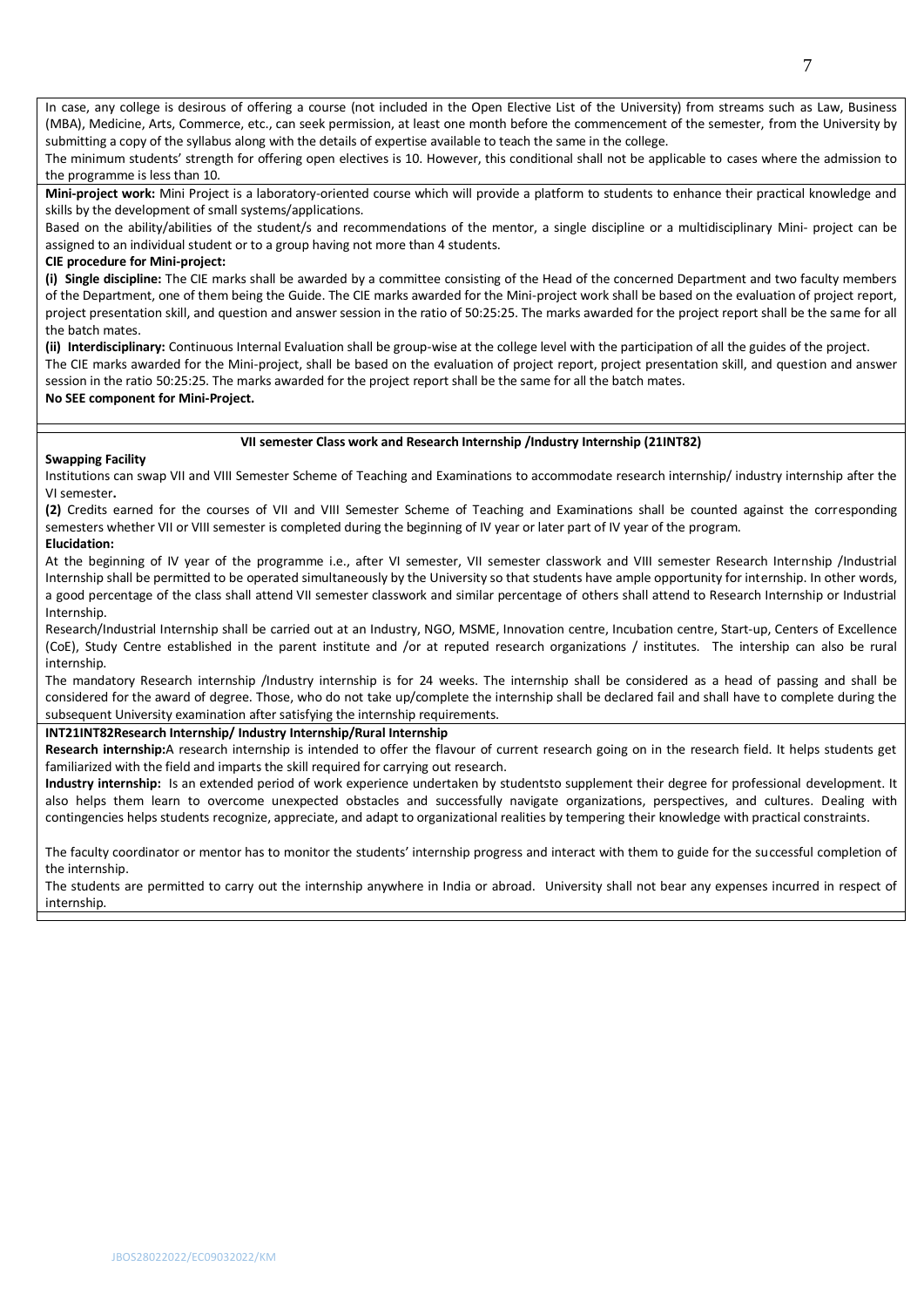In case, any college is desirous of offering a course (not included in the Open Elective List of the University) from streams such as Law, Business (MBA), Medicine, Arts, Commerce, etc., can seek permission, at least one month before the commencement of the semester, from the University by submitting a copy of the syllabus along with the details of expertise available to teach the same in the college.

The minimum students' strength for offering open electives is 10. However, this conditional shall not be applicable to cases where the admission to the programme is less than 10.

**Mini-project work:** Mini Project is a laboratory-oriented course which will provide a platform to students to enhance their practical knowledge and skills by the development of small systems/applications.

Based on the ability/abilities of the student/s and recommendations of the mentor, a single discipline or a multidisciplinary Mini- project can be assigned to an individual student or to a group having not more than 4 students.

### **CIE procedure for Mini-project:**

**(i) Single discipline:** The CIE marks shall be awarded by a committee consisting of the Head of the concerned Department and two faculty members of the Department, one of them being the Guide. The CIE marks awarded for the Mini-project work shall be based on the evaluation of project report, project presentation skill, and question and answer session in the ratio of 50:25:25. The marks awarded for the project report shall be the same for all the batch mates.

**(ii) Interdisciplinary:** Continuous Internal Evaluation shall be group-wise at the college level with the participation of all the guides of the project. The CIE marks awarded for the Mini-project, shall be based on the evaluation of project report, project presentation skill, and question and answer session in the ratio 50:25:25. The marks awarded for the project report shall be the same for all the batch mates.

### **No SEE component for Mini-Project.**

#### **VII semester Class work and Research Internship /Industry Internship (21INT82)**

#### **Swapping Facility**

Institutions can swap VII and VIII Semester Scheme of Teaching and Examinations to accommodate research internship/ industry internship after the VI semester**.** 

**(2)** Credits earned for the courses of VII and VIII Semester Scheme of Teaching and Examinations shall be counted against the corresponding semesters whether VII or VIII semester is completed during the beginning of IV year or later part of IV year of the program. **Elucidation:**

At the beginning of IV year of the programme i.e., after VI semester, VII semester classwork and VIII semester Research Internship /Industrial Internship shall be permitted to be operated simultaneously by the University so that students have ample opportunity for internship. In other words, a good percentage of the class shall attend VII semester classwork and similar percentage of others shall attend to Research Internship or Industrial Internship.

Research/Industrial Internship shall be carried out at an Industry, NGO, MSME, Innovation centre, Incubation centre, Start-up, Centers of Excellence (CoE), Study Centre established in the parent institute and /or at reputed research organizations / institutes. The intership can also be rural internship.

The mandatory Research internship /Industry internship is for 24 weeks. The internship shall be considered as a head of passing and shall be considered for the award of degree. Those, who do not take up/complete the internship shall be declared fail and shall have to complete during the subsequent University examination after satisfying the internship requirements.

#### **INT21INT82Research Internship/ Industry Internship/Rural Internship**

**Research internship:**A research internship is intended to offer the flavour of current research going on in the research field. It helps students get familiarized with the field and imparts the skill required for carrying out research.

**Industry internship:** Is an extended period of work experience undertaken by studentsto supplement their degree for professional development. It also helps them learn to overcome unexpected obstacles and successfully navigate organizations, perspectives, and cultures. Dealing with contingencies helps students recognize, appreciate, and adapt to organizational realities by tempering their knowledge with practical constraints.

The faculty coordinator or mentor has to monitor the students' internship progress and interact with them to guide for the successful completion of the internship.

The students are permitted to carry out the internship anywhere in India or abroad. University shall not bear any expenses incurred in respect of internship.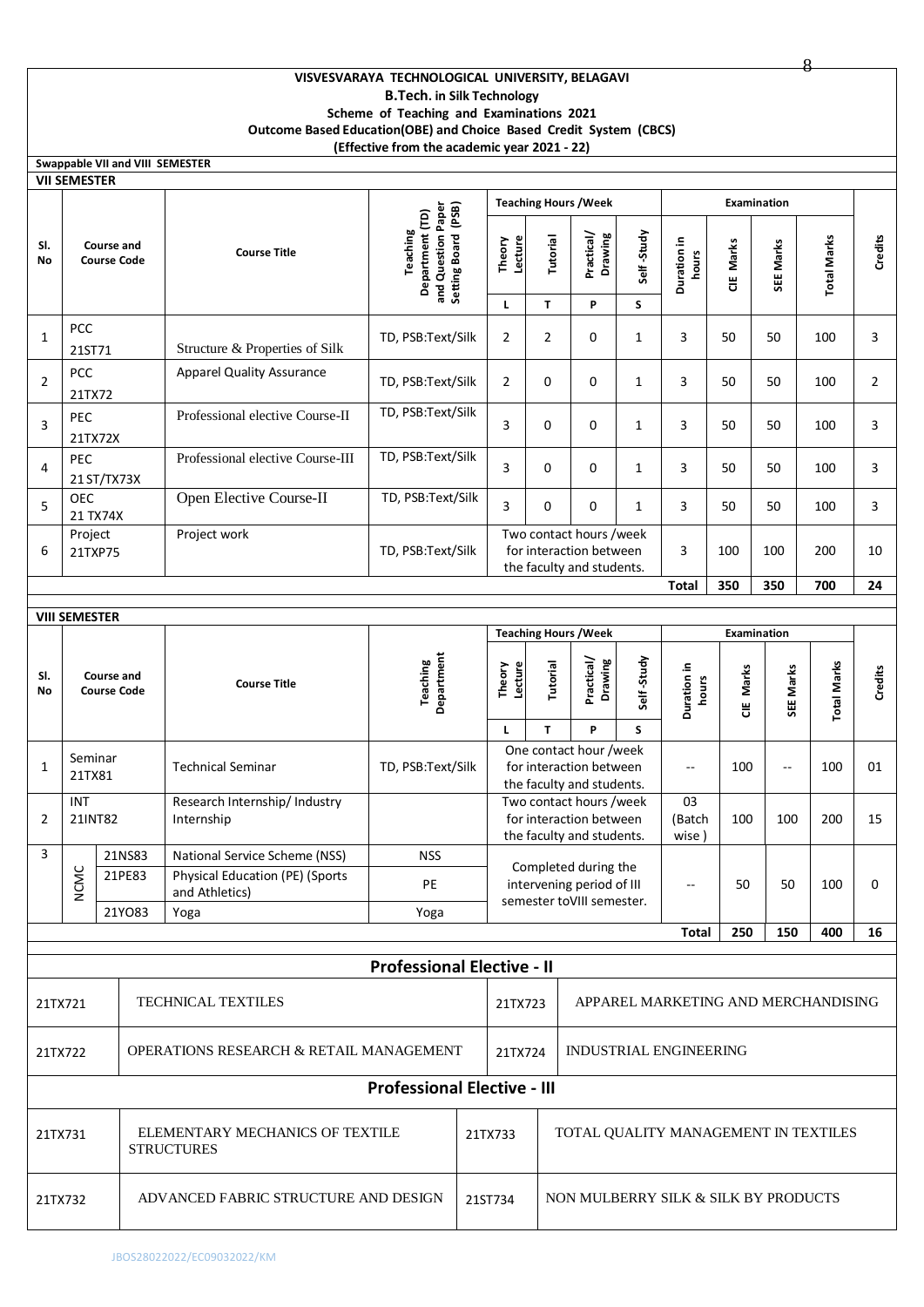# **VISVESVARAYA TECHNOLOGICAL UNIVERSITY, BELAGAVI B.Tech. in Silk Technology Scheme of Teaching and Examinations 2021 Outcome Based Education(OBE) and Choice Based Credit System (CBCS)**

8

|                | (Effective from the academic year 2021 - 22)                  |                                         |                                                 |                                                          |                                                                          |  |                                                                                 |                                      |                                                                                 |                 |                                     |           |                                 |                    |                |
|----------------|---------------------------------------------------------------|-----------------------------------------|-------------------------------------------------|----------------------------------------------------------|--------------------------------------------------------------------------|--|---------------------------------------------------------------------------------|--------------------------------------|---------------------------------------------------------------------------------|-----------------|-------------------------------------|-----------|---------------------------------|--------------------|----------------|
|                |                                                               |                                         |                                                 | Swappable VII and VIII SEMESTER                          |                                                                          |  |                                                                                 |                                      |                                                                                 |                 |                                     |           |                                 |                    |                |
|                | <b>VII SEMESTER</b>                                           |                                         |                                                 |                                                          |                                                                          |  |                                                                                 |                                      |                                                                                 |                 |                                     |           |                                 |                    |                |
| SI.<br>No      |                                                               | Course and<br><b>Course Code</b>        |                                                 | <b>Course Title</b>                                      | Setting Board (PSB)<br>and Question Paper<br>Department (TD)<br>Teaching |  | Lecture<br>Theory                                                               | Tutorial                             | <b>Teaching Hours / Week</b><br>Practical/<br>Drawing                           | Self-Study      | Duration in<br>hours                | CIE Marks | <b>Examination</b><br>SEE Marks | <b>Total Marks</b> | Credits        |
|                |                                                               |                                         |                                                 |                                                          |                                                                          |  | L                                                                               | T                                    | P                                                                               | S               |                                     |           |                                 |                    |                |
| $\mathbf{1}$   | <b>PCC</b><br>21ST71                                          |                                         |                                                 | Structure & Properties of Silk                           | TD, PSB:Text/Silk                                                        |  | $\overline{2}$                                                                  | $\overline{2}$                       | 0                                                                               | $\mathbf{1}$    | 3                                   | 50        | 50                              | 100                | 3              |
| $\overline{2}$ | PCC<br>21TX72                                                 |                                         |                                                 | <b>Apparel Quality Assurance</b>                         | TD, PSB:Text/Silk                                                        |  | $\overline{2}$                                                                  | 0                                    | 0                                                                               | $\mathbf{1}$    | 3                                   | 50        | 50                              | 100                | $\overline{2}$ |
| 3              | PEC<br>21TX72X                                                |                                         |                                                 | Professional elective Course-II                          | TD, PSB:Text/Silk                                                        |  | 3                                                                               | 0                                    | 0                                                                               | $\mathbf{1}$    | 3                                   | 50        | 50                              | 100                | 3              |
| 4              | PEC<br>21 ST/TX73X                                            |                                         |                                                 | Professional elective Course-III                         | TD, PSB:Text/Silk                                                        |  | 3                                                                               | 0                                    | 0                                                                               | $\mathbf{1}$    | 3                                   | 50        | 50                              | 100                | 3              |
| 5              | <b>OEC</b><br>21 TX74X                                        |                                         |                                                 | Open Elective Course-II                                  | TD, PSB:Text/Silk                                                        |  | 3                                                                               | 0                                    | 0                                                                               | $\mathbf{1}$    | 3                                   | 50        | 50                              | 100                | 3              |
| 6              | Project<br>21TXP75                                            |                                         |                                                 | Project work                                             | TD, PSB:Text/Silk                                                        |  | Two contact hours /week<br>for interaction between<br>the faculty and students. |                                      |                                                                                 | 3               | 100                                 | 100       | 200                             | 10                 |                |
|                |                                                               |                                         |                                                 |                                                          |                                                                          |  |                                                                                 |                                      | <b>Total</b>                                                                    | 350             | 350                                 | 700       | 24                              |                    |                |
|                | <b>VIII SEMESTER</b>                                          |                                         |                                                 |                                                          |                                                                          |  |                                                                                 |                                      |                                                                                 |                 |                                     |           |                                 |                    |                |
|                | <b>Teaching Hours / Week</b><br>Examination                   |                                         |                                                 |                                                          |                                                                          |  |                                                                                 |                                      |                                                                                 |                 |                                     |           |                                 |                    |                |
| SI.<br>No      |                                                               | <b>Course and</b><br><b>Course Code</b> |                                                 | <b>Course Title</b>                                      | Department<br>Teaching                                                   |  | Lecture<br>Theory<br>L                                                          | Tutorial<br>T                        | Practical/<br>Drawing<br>P                                                      | Self-Study<br>S | Duration in<br>hours                | CIE Marks | SEE Marks                       | <b>Total Marks</b> | Credits        |
| $\mathbf{1}$   | Seminar<br>21TX81                                             |                                         |                                                 | <b>Technical Seminar</b>                                 | TD, PSB:Text/Silk                                                        |  |                                                                                 |                                      | One contact hour /week<br>for interaction between<br>the faculty and students.  | --              | 100                                 | --        | 100                             | 01                 |                |
| 2              | <b>INT</b><br>21INT82                                         |                                         |                                                 | Research Internship/ Industry<br>Internship              |                                                                          |  |                                                                                 |                                      | Two contact hours /week<br>for interaction between<br>the faculty and students. |                 | 03<br>(Batch<br>wise)               | 100       | 100                             | 200                | 15             |
| 3              |                                                               |                                         | 21NS83                                          | National Service Scheme (NSS)                            | <b>NSS</b>                                                               |  |                                                                                 |                                      | Completed during the                                                            |                 |                                     |           |                                 |                    |                |
|                | <b>NCMC</b>                                                   |                                         | 21PE83                                          | <b>Physical Education (PE) (Sports</b><br>and Athletics) | PE                                                                       |  |                                                                                 |                                      | intervening period of III<br>semester toVIII semester.                          |                 | $-$                                 | 50        | 50                              | 100                | 0              |
|                |                                                               |                                         | 21YO83                                          | Yoga                                                     | Yoga                                                                     |  |                                                                                 |                                      |                                                                                 |                 | <b>Total</b>                        | 250       | 150                             | 400                | 16             |
|                |                                                               |                                         |                                                 |                                                          |                                                                          |  |                                                                                 |                                      |                                                                                 |                 |                                     |           |                                 |                    |                |
|                |                                                               |                                         |                                                 |                                                          | <b>Professional Elective - II</b>                                        |  |                                                                                 |                                      |                                                                                 |                 |                                     |           |                                 |                    |                |
| 21TX721        |                                                               |                                         |                                                 | <b>TECHNICAL TEXTILES</b>                                |                                                                          |  | 21TX723                                                                         |                                      |                                                                                 |                 | APPAREL MARKETING AND MERCHANDISING |           |                                 |                    |                |
|                | <b>OPERATIONS RESEARCH &amp; RETAIL MANAGEMENT</b><br>21TX722 |                                         |                                                 |                                                          | 21TX724                                                                  |  | INDUSTRIAL ENGINEERING                                                          |                                      |                                                                                 |                 |                                     |           |                                 |                    |                |
|                |                                                               |                                         |                                                 |                                                          | <b>Professional Elective - III</b>                                       |  |                                                                                 |                                      |                                                                                 |                 |                                     |           |                                 |                    |                |
| 21TX731        |                                                               |                                         |                                                 | ELEMENTARY MECHANICS OF TEXTILE<br><b>STRUCTURES</b>     |                                                                          |  | 21TX733                                                                         | TOTAL QUALITY MANAGEMENT IN TEXTILES |                                                                                 |                 |                                     |           |                                 |                    |                |
| 21TX732        |                                                               |                                         | ADVANCED FABRIC STRUCTURE AND DESIGN<br>21ST734 |                                                          |                                                                          |  | NON MULBERRY SILK & SILK BY PRODUCTS                                            |                                      |                                                                                 |                 |                                     |           |                                 |                    |                |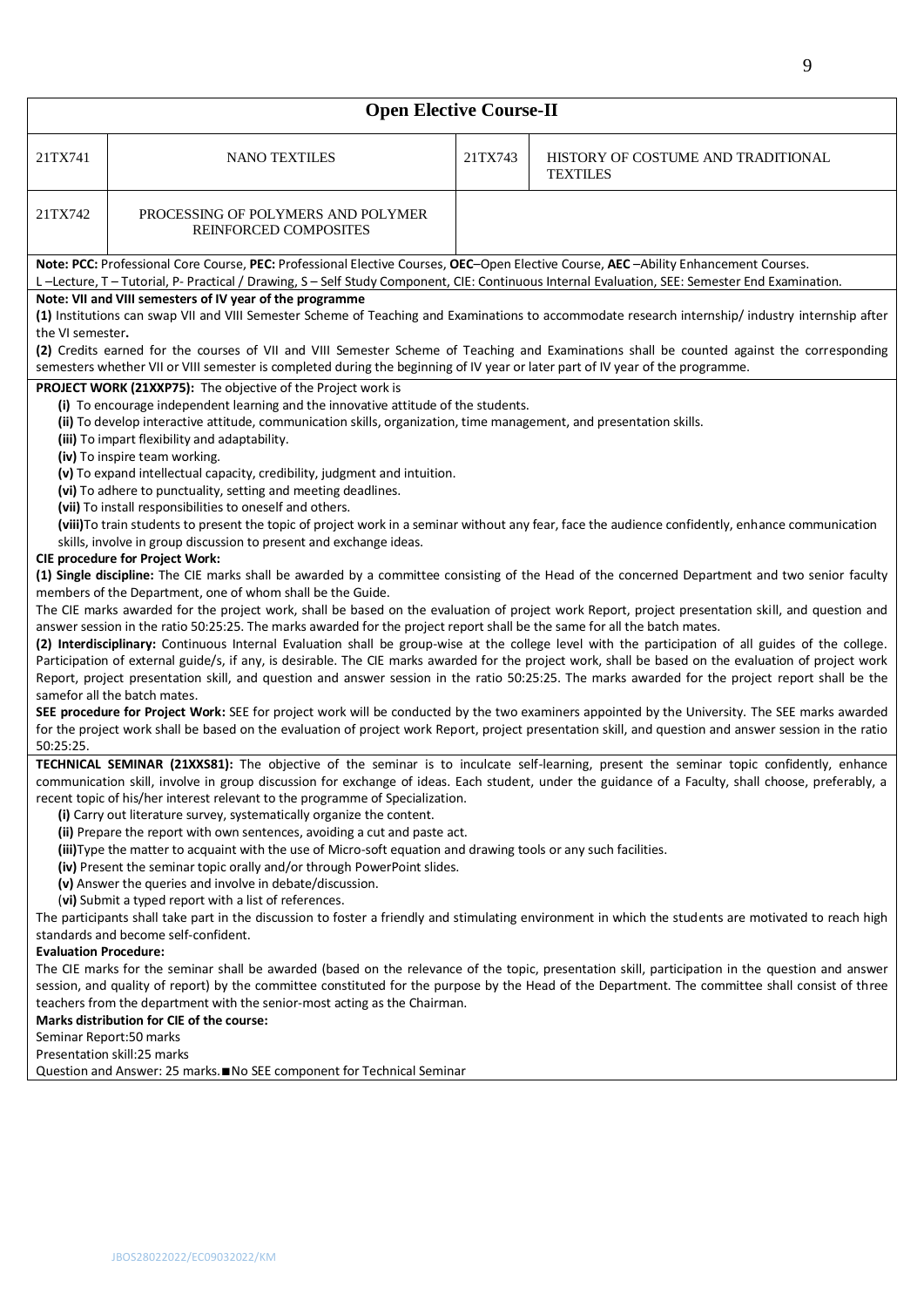| <b>Open Elective Course-II</b>                                                                                                                                                                                                                                                                                                                                                                                                                                                                                                                                                                                                                                                                                                                                                                                                                                                                                                                                                                                                                                                                                                                                                                                                                                                                                                                                                                                                                                                                                                                                                                                                                                                                                                                                                                                                        |                                                                                                                                                                                                                                                                                                                                                                                                                                                                                                                                                                                                                                                                                                                                                                                                                                                                                                                                                                                                                                                                                                                                                                                                                                                                                                                                                                                                                                                                                                                                                                                                                                                                                                                                                                                                                                                                                                                                                                                                    |         |                                                       |  |  |  |  |  |  |  |  |
|---------------------------------------------------------------------------------------------------------------------------------------------------------------------------------------------------------------------------------------------------------------------------------------------------------------------------------------------------------------------------------------------------------------------------------------------------------------------------------------------------------------------------------------------------------------------------------------------------------------------------------------------------------------------------------------------------------------------------------------------------------------------------------------------------------------------------------------------------------------------------------------------------------------------------------------------------------------------------------------------------------------------------------------------------------------------------------------------------------------------------------------------------------------------------------------------------------------------------------------------------------------------------------------------------------------------------------------------------------------------------------------------------------------------------------------------------------------------------------------------------------------------------------------------------------------------------------------------------------------------------------------------------------------------------------------------------------------------------------------------------------------------------------------------------------------------------------------|----------------------------------------------------------------------------------------------------------------------------------------------------------------------------------------------------------------------------------------------------------------------------------------------------------------------------------------------------------------------------------------------------------------------------------------------------------------------------------------------------------------------------------------------------------------------------------------------------------------------------------------------------------------------------------------------------------------------------------------------------------------------------------------------------------------------------------------------------------------------------------------------------------------------------------------------------------------------------------------------------------------------------------------------------------------------------------------------------------------------------------------------------------------------------------------------------------------------------------------------------------------------------------------------------------------------------------------------------------------------------------------------------------------------------------------------------------------------------------------------------------------------------------------------------------------------------------------------------------------------------------------------------------------------------------------------------------------------------------------------------------------------------------------------------------------------------------------------------------------------------------------------------------------------------------------------------------------------------------------------------|---------|-------------------------------------------------------|--|--|--|--|--|--|--|--|
| 21TX741                                                                                                                                                                                                                                                                                                                                                                                                                                                                                                                                                                                                                                                                                                                                                                                                                                                                                                                                                                                                                                                                                                                                                                                                                                                                                                                                                                                                                                                                                                                                                                                                                                                                                                                                                                                                                               | <b>NANO TEXTILES</b>                                                                                                                                                                                                                                                                                                                                                                                                                                                                                                                                                                                                                                                                                                                                                                                                                                                                                                                                                                                                                                                                                                                                                                                                                                                                                                                                                                                                                                                                                                                                                                                                                                                                                                                                                                                                                                                                                                                                                                               | 21TX743 | HISTORY OF COSTUME AND TRADITIONAL<br><b>TEXTILES</b> |  |  |  |  |  |  |  |  |
| 21TX742                                                                                                                                                                                                                                                                                                                                                                                                                                                                                                                                                                                                                                                                                                                                                                                                                                                                                                                                                                                                                                                                                                                                                                                                                                                                                                                                                                                                                                                                                                                                                                                                                                                                                                                                                                                                                               | PROCESSING OF POLYMERS AND POLYMER<br>REINFORCED COMPOSITES                                                                                                                                                                                                                                                                                                                                                                                                                                                                                                                                                                                                                                                                                                                                                                                                                                                                                                                                                                                                                                                                                                                                                                                                                                                                                                                                                                                                                                                                                                                                                                                                                                                                                                                                                                                                                                                                                                                                        |         |                                                       |  |  |  |  |  |  |  |  |
| Note: PCC: Professional Core Course, PEC: Professional Elective Courses, OEC-Open Elective Course, AEC-Ability Enhancement Courses.                                                                                                                                                                                                                                                                                                                                                                                                                                                                                                                                                                                                                                                                                                                                                                                                                                                                                                                                                                                                                                                                                                                                                                                                                                                                                                                                                                                                                                                                                                                                                                                                                                                                                                   |                                                                                                                                                                                                                                                                                                                                                                                                                                                                                                                                                                                                                                                                                                                                                                                                                                                                                                                                                                                                                                                                                                                                                                                                                                                                                                                                                                                                                                                                                                                                                                                                                                                                                                                                                                                                                                                                                                                                                                                                    |         |                                                       |  |  |  |  |  |  |  |  |
| L-Lecture, T-Tutorial, P-Practical / Drawing, S-Self Study Component, CIE: Continuous Internal Evaluation, SEE: Semester End Examination.<br>Note: VII and VIII semesters of IV year of the programme                                                                                                                                                                                                                                                                                                                                                                                                                                                                                                                                                                                                                                                                                                                                                                                                                                                                                                                                                                                                                                                                                                                                                                                                                                                                                                                                                                                                                                                                                                                                                                                                                                 |                                                                                                                                                                                                                                                                                                                                                                                                                                                                                                                                                                                                                                                                                                                                                                                                                                                                                                                                                                                                                                                                                                                                                                                                                                                                                                                                                                                                                                                                                                                                                                                                                                                                                                                                                                                                                                                                                                                                                                                                    |         |                                                       |  |  |  |  |  |  |  |  |
| (1) Institutions can swap VII and VIII Semester Scheme of Teaching and Examinations to accommodate research internship/industry internship after                                                                                                                                                                                                                                                                                                                                                                                                                                                                                                                                                                                                                                                                                                                                                                                                                                                                                                                                                                                                                                                                                                                                                                                                                                                                                                                                                                                                                                                                                                                                                                                                                                                                                      |                                                                                                                                                                                                                                                                                                                                                                                                                                                                                                                                                                                                                                                                                                                                                                                                                                                                                                                                                                                                                                                                                                                                                                                                                                                                                                                                                                                                                                                                                                                                                                                                                                                                                                                                                                                                                                                                                                                                                                                                    |         |                                                       |  |  |  |  |  |  |  |  |
| the VI semester.<br>(2) Credits earned for the courses of VII and VIII Semester Scheme of Teaching and Examinations shall be counted against the corresponding                                                                                                                                                                                                                                                                                                                                                                                                                                                                                                                                                                                                                                                                                                                                                                                                                                                                                                                                                                                                                                                                                                                                                                                                                                                                                                                                                                                                                                                                                                                                                                                                                                                                        |                                                                                                                                                                                                                                                                                                                                                                                                                                                                                                                                                                                                                                                                                                                                                                                                                                                                                                                                                                                                                                                                                                                                                                                                                                                                                                                                                                                                                                                                                                                                                                                                                                                                                                                                                                                                                                                                                                                                                                                                    |         |                                                       |  |  |  |  |  |  |  |  |
|                                                                                                                                                                                                                                                                                                                                                                                                                                                                                                                                                                                                                                                                                                                                                                                                                                                                                                                                                                                                                                                                                                                                                                                                                                                                                                                                                                                                                                                                                                                                                                                                                                                                                                                                                                                                                                       | semesters whether VII or VIII semester is completed during the beginning of IV year or later part of IV year of the programme.                                                                                                                                                                                                                                                                                                                                                                                                                                                                                                                                                                                                                                                                                                                                                                                                                                                                                                                                                                                                                                                                                                                                                                                                                                                                                                                                                                                                                                                                                                                                                                                                                                                                                                                                                                                                                                                                     |         |                                                       |  |  |  |  |  |  |  |  |
|                                                                                                                                                                                                                                                                                                                                                                                                                                                                                                                                                                                                                                                                                                                                                                                                                                                                                                                                                                                                                                                                                                                                                                                                                                                                                                                                                                                                                                                                                                                                                                                                                                                                                                                                                                                                                                       | PROJECT WORK (21XXP75): The objective of the Project work is<br>(i) To encourage independent learning and the innovative attitude of the students.<br>(ii) To develop interactive attitude, communication skills, organization, time management, and presentation skills.<br>(iii) To impart flexibility and adaptability.<br>(iv) To inspire team working.<br>(v) To expand intellectual capacity, credibility, judgment and intuition.<br>(vi) To adhere to punctuality, setting and meeting deadlines.<br>(vii) To install responsibilities to oneself and others.<br>(viii) To train students to present the topic of project work in a seminar without any fear, face the audience confidently, enhance communication<br>skills, involve in group discussion to present and exchange ideas.<br><b>CIE procedure for Project Work:</b><br>(1) Single discipline: The CIE marks shall be awarded by a committee consisting of the Head of the concerned Department and two senior faculty<br>members of the Department, one of whom shall be the Guide.<br>The CIE marks awarded for the project work, shall be based on the evaluation of project work Report, project presentation skill, and question and<br>answer session in the ratio 50:25:25. The marks awarded for the project report shall be the same for all the batch mates.<br>(2) Interdisciplinary: Continuous Internal Evaluation shall be group-wise at the college level with the participation of all guides of the college.<br>Participation of external guide/s, if any, is desirable. The CIE marks awarded for the project work, shall be based on the evaluation of project work<br>Report, project presentation skill, and question and answer session in the ratio 50:25:25. The marks awarded for the project report shall be the<br>samefor all the batch mates.<br>SEE procedure for Project Work: SEE for project work will be conducted by the two examiners appointed by the University. The SEE marks awarded |         |                                                       |  |  |  |  |  |  |  |  |
| for the project work shall be based on the evaluation of project work Report, project presentation skill, and question and answer session in the ratio<br>50:25:25.<br>TECHNICAL SEMINAR (21XXS81): The objective of the seminar is to inculcate self-learning, present the seminar topic confidently, enhance<br>communication skill, involve in group discussion for exchange of ideas. Each student, under the guidance of a Faculty, shall choose, preferably, a<br>recent topic of his/her interest relevant to the programme of Specialization.<br>(i) Carry out literature survey, systematically organize the content.<br>(ii) Prepare the report with own sentences, avoiding a cut and paste act.<br>(iii) Type the matter to acquaint with the use of Micro-soft equation and drawing tools or any such facilities.<br>(iv) Present the seminar topic orally and/or through PowerPoint slides.<br>(v) Answer the queries and involve in debate/discussion.<br>(vi) Submit a typed report with a list of references.<br>The participants shall take part in the discussion to foster a friendly and stimulating environment in which the students are motivated to reach high<br>standards and become self-confident.<br><b>Evaluation Procedure:</b><br>The CIE marks for the seminar shall be awarded (based on the relevance of the topic, presentation skill, participation in the question and answer<br>session, and quality of report) by the committee constituted for the purpose by the Head of the Department. The committee shall consist of three<br>teachers from the department with the senior-most acting as the Chairman.<br>Marks distribution for CIE of the course:<br>Seminar Report:50 marks<br>Presentation skill:25 marks<br>Question and Answer: 25 marks.■No SEE component for Technical Seminar |                                                                                                                                                                                                                                                                                                                                                                                                                                                                                                                                                                                                                                                                                                                                                                                                                                                                                                                                                                                                                                                                                                                                                                                                                                                                                                                                                                                                                                                                                                                                                                                                                                                                                                                                                                                                                                                                                                                                                                                                    |         |                                                       |  |  |  |  |  |  |  |  |
|                                                                                                                                                                                                                                                                                                                                                                                                                                                                                                                                                                                                                                                                                                                                                                                                                                                                                                                                                                                                                                                                                                                                                                                                                                                                                                                                                                                                                                                                                                                                                                                                                                                                                                                                                                                                                                       |                                                                                                                                                                                                                                                                                                                                                                                                                                                                                                                                                                                                                                                                                                                                                                                                                                                                                                                                                                                                                                                                                                                                                                                                                                                                                                                                                                                                                                                                                                                                                                                                                                                                                                                                                                                                                                                                                                                                                                                                    |         |                                                       |  |  |  |  |  |  |  |  |
|                                                                                                                                                                                                                                                                                                                                                                                                                                                                                                                                                                                                                                                                                                                                                                                                                                                                                                                                                                                                                                                                                                                                                                                                                                                                                                                                                                                                                                                                                                                                                                                                                                                                                                                                                                                                                                       |                                                                                                                                                                                                                                                                                                                                                                                                                                                                                                                                                                                                                                                                                                                                                                                                                                                                                                                                                                                                                                                                                                                                                                                                                                                                                                                                                                                                                                                                                                                                                                                                                                                                                                                                                                                                                                                                                                                                                                                                    |         |                                                       |  |  |  |  |  |  |  |  |